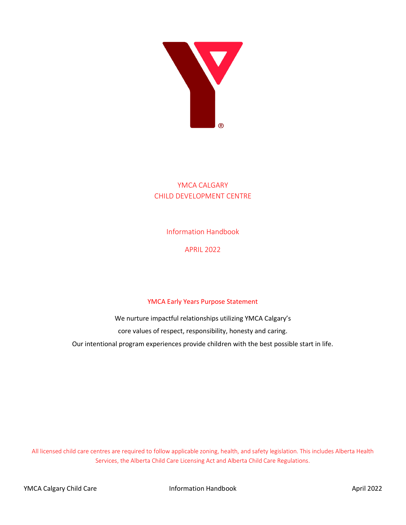

## YMCA CALGARY CHILD DEVELOPMENT CENTRE

Information Handbook

APRIL 2022

### YMCA Early Years Purpose Statement

We nurture impactful relationships utilizing YMCA Calgary's core values of respect, responsibility, honesty and caring. Our intentional program experiences provide children with the best possible start in life.

All licensed child care centres are required to follow applicable zoning, health, and safety legislation. This includes Alberta Health Services, the Alberta Child Care Licensing Act and Alberta Child Care Regulations.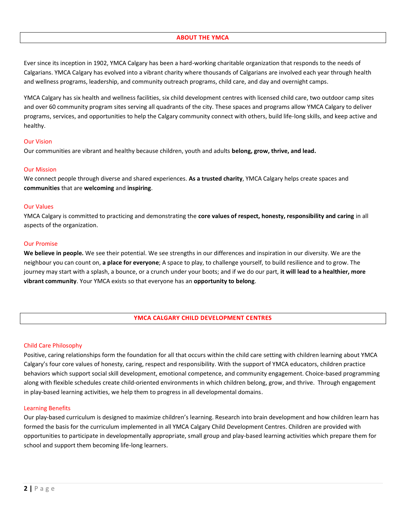#### **ABOUT THE YMCA**

Ever since its inception in 1902, YMCA Calgary has been a hard-working charitable organization that responds to the needs of Calgarians. YMCA Calgary has evolved into a vibrant charity where thousands of Calgarians are involved each year through health and wellness programs, leadership, and community outreach programs, child care, and day and overnight camps.

YMCA Calgary has six health and wellness facilities, six child development centres with licensed child care, two outdoor camp sites and over 60 community program sites serving all quadrants of the city. These spaces and programs allow YMCA Calgary to deliver programs, services, and opportunities to help the Calgary community connect with others, build life-long skills, and keep active and healthy.

#### Our Vision

Our communities are vibrant and healthy because children, youth and adults **belong, grow, thrive, and lead.**

#### Our Mission

We connect people through diverse and shared experiences. **As a trusted charity**, YMCA Calgary helps create spaces and **communities** that are **welcoming** and **inspiring**.

#### Our Values

YMCA Calgary is committed to practicing and demonstrating the **core values of respect, honesty, responsibility and caring** in all aspects of the organization.

#### Our Promise

**We believe in people.** We see their potential. We see strengths in our differences and inspiration in our diversity. We are the neighbour you can count on, **a place for everyone**; A space to play, to challenge yourself, to build resilience and to grow. The journey may start with a splash, a bounce, or a crunch under your boots; and if we do our part, **it will lead to a healthier, more vibrant community**. Your YMCA exists so that everyone has an **opportunity to belong**.

#### **YMCA CALGARY CHILD DEVELOPMENT CENTRES**

#### Child Care Philosophy

Positive, caring relationships form the foundation for all that occurs within the child care setting with children learning about YMCA Calgary's four core values of honesty, caring, respect and responsibility. With the support of YMCA educators, children practice behaviors which support social skill development, emotional competence, and community engagement. Choice-based programming along with flexible schedules create child-oriented environments in which children belong, grow, and thrive. Through engagement in play-based learning activities, we help them to progress in all developmental domains.

#### Learning Benefits

Our play-based curriculum is designed to maximize children's learning. Research into brain development and how children learn has formed the basis for the curriculum implemented in all YMCA Calgary Child Development Centres. Children are provided with opportunities to participate in developmentally appropriate, small group and play-based learning activities which prepare them for school and support them becoming life-long learners.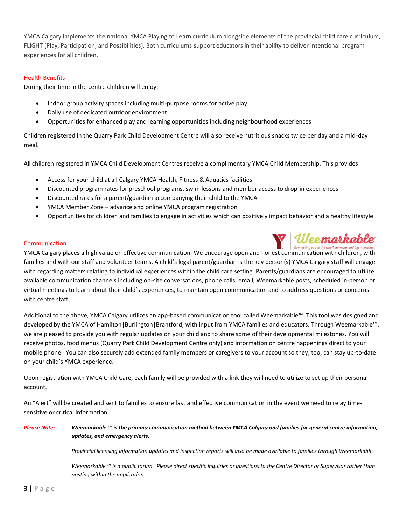YMCA Calgary implements the national YMCA Playing to Learn curriculum alongside elements of the provincial child care curriculum, FLIGHT (Play, Participation, and Possibilities). Both curriculums support educators in their ability to deliver intentional program experiences for all children.

#### Health Benefits

During their time in the centre children will enjoy:

- Indoor group activity spaces including multi-purpose rooms for active play
- Daily use of dedicated outdoor environment
- Opportunities for enhanced play and learning opportunities including neighbourhood experiences

Children registered in the Quarry Park Child Development Centre will also receive nutritious snacks twice per day and a mid-day meal.

All children registered in YMCA Child Development Centres receive a complimentary YMCA Child Membership. This provides:

- Access for your child at all Calgary YMCA Health, Fitness & Aquatics facilities
- Discounted program rates for preschool programs, swim lessons and member access to drop-in experiences
- Discounted rates for a parent/guardian accompanying their child to the YMCA
- YMCA Member Zone advance and online YMCA program registration
- Opportunities for children and families to engage in activities which can positively impact behavior and a healthy lifestyle

#### **Communication**

V Uee markable YMCA Calgary places a high value on effective communication. We encourage open and honest communication with children, with families and with our staff and volunteer teams. A child's legal parent/guardian is the key person(s) YMCA Calgary staff will engage with regarding matters relating to individual experiences within the child care setting. Parents/guardians are encouraged to utilize available communication channels including on-site conversations, phone calls, email, Weemarkable posts, scheduled in-person or virtual meetings to learn about their child's experiences, to maintain open communication and to address questions or concerns with centre staff.

Additional to the above, YMCA Calgary utilizes an app-based communication tool called Weemarkable™. This tool was designed and developed by the YMCA of Hamilton|Burlington|Brantford, with input from YMCA families and educators. Through Weemarkable™, we are pleased to provide you with regular updates on your child and to share some of their developmental milestones. You will receive photos, food menus (Quarry Park Child Development Centre only) and information on centre happenings direct to your mobile phone. You can also securely add extended family members or caregivers to your account so they, too, can stay up-to-date on your child's YMCA experience.

Upon registration with YMCA Child Care, each family will be provided with a link they will need to utilize to set up their personal account.

An "Alert" will be created and sent to families to ensure fast and effective communication in the event we need to relay timesensitive or critical information.

#### *Please Note: Weemarkable ™ is the primary communication method between YMCA Calgary and families for general centre information, updates, and emergency alerts.*

*Provincial licensing information updates and inspection reports will also be made available to families through Weemarkable* 

*Weemarkable ™ is a public forum. Please direct specific inquiries or questions to the Centre Director or Supervisor rather than posting within the application*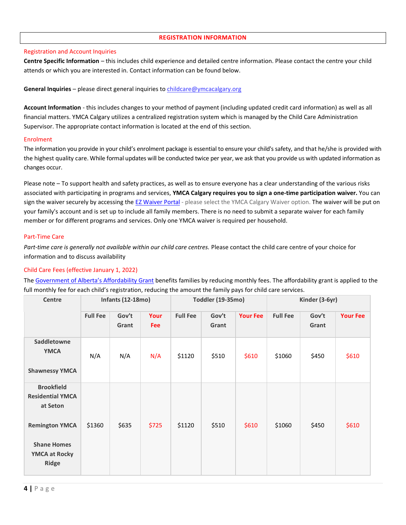#### **REGISTRATION INFORMATION**

#### Registration and Account Inquiries

**Centre Specific Information** – this includes child experience and detailed centre information. Please contact the centre your child attends or which you are interested in. Contact information can be found below.

#### **General Inquiries** – please direct general inquiries to [childcare@ymcacalgary.org](mailto:childcare@ymcacalgary.org)

**Account Information** - this includes changes to your method of payment (including updated credit card information) as well as all financial matters. YMCA Calgary utilizes a centralized registration system which is managed by the Child Care Administration Supervisor. The appropriate contact information is located at the end of this section.

#### Enrolment

The information you provide in your child's enrolment package is essential to ensure your child's safety, and that he/she is provided with the highest quality care. While formal updates will be conducted twice per year, we ask that you provide us with updated information as changes occur.

Please note – To support health and safety practices, as well as to ensure everyone has a clear understanding of the various risks associated with participating in programs and services, **YMCA Calgary requires you to sign a one-time participation waiver.** You can sign the waiver securely by accessing the [EZ Waiver Portal](https://www.ezwaiver.com/ymcacalgary/) - please select the YMCA Calgary Waiver option. The waiver will be put on your family's account and is set up to include all family members. There is no need to submit a separate waiver for each family member or for different programs and services. Only one YMCA waiver is required per household.

#### Part-Time Care

*Part-time care is generally not available within our child care centres.* Please contact the child care centre of your choice for information and to discuss availability

#### Child Care Fees (effective January 1, 2022)

The [Government of Alberta's Affordability Grant](https://www.alberta.ca/federal-provincial-child-care-agreement.aspx) benefits families by reducing monthly fees. The affordability grant is applied to the full monthly fee for each child's registration, reducing the amount the family pays for child care services.

| <b>Infants (12-18mo)</b><br>Centre                                                |                 |                | Toddler (19-35mo)  |                 |                | Kinder (3-6yr)  |                 |                |                 |
|-----------------------------------------------------------------------------------|-----------------|----------------|--------------------|-----------------|----------------|-----------------|-----------------|----------------|-----------------|
|                                                                                   | <b>Full Fee</b> | Gov't<br>Grant | Your<br><b>Fee</b> | <b>Full Fee</b> | Gov't<br>Grant | <b>Your Fee</b> | <b>Full Fee</b> | Gov't<br>Grant | <b>Your Fee</b> |
| Saddletowne<br><b>YMCA</b><br><b>Shawnessy YMCA</b>                               | N/A             | N/A            | N/A                | \$1120          | \$510          | \$610           | \$1060          | \$450          | \$610           |
| <b>Brookfield</b><br><b>Residential YMCA</b><br>at Seton<br><b>Remington YMCA</b> | \$1360          | \$635          | \$725              | \$1120          | \$510          | \$610           | \$1060          | \$450          | \$610           |
| <b>Shane Homes</b><br><b>YMCA at Rocky</b><br><b>Ridge</b>                        |                 |                |                    |                 |                |                 |                 |                |                 |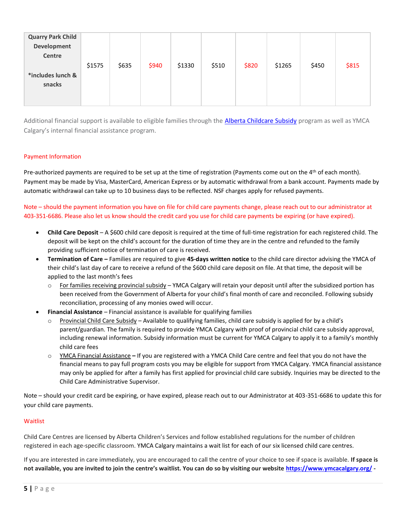| <b>Quarry Park Child</b><br>Development<br>Centre | \$1575 | \$635 | \$940 | \$1330 | \$510 | \$820 | \$1265 | \$450 | \$815 |
|---------------------------------------------------|--------|-------|-------|--------|-------|-------|--------|-------|-------|
| *includes lunch &<br>snacks                       |        |       |       |        |       |       |        |       |       |

Additional financial support is available to eligible families through th[e Alberta Childcare Subsidy](https://www.alberta.ca/child-care-subsidy.aspx) program as well as YMCA Calgary's internal financial assistance program.

#### Payment Information

Pre-authorized payments are required to be set up at the time of registration (Payments come out on the  $4<sup>th</sup>$  of each month). Payment may be made by Visa, MasterCard, American Express or by automatic withdrawal from a bank account. Payments made by automatic withdrawal can take up to 10 business days to be reflected. NSF charges apply for refused payments.

Note – should the payment information you have on file for child care payments change, please reach out to our administrator at 403-351-6686. Please also let us know should the credit card you use for child care payments be expiring (or have expired).

- **Child Care Deposit** A \$600 child care deposit is required at the time of full-time registration for each registered child. The deposit will be kept on the child's account for the duration of time they are in the centre and refunded to the family providing sufficient notice of termination of care is received.
- **Termination of Care –** Families are required to give **45-days written notice** to the child care director advising the YMCA of their child's last day of care to receive a refund of the \$600 child care deposit on file. At that time, the deposit will be applied to the last month's fees
	- $\circ$  For families receiving provincial subsidy YMCA Calgary will retain your deposit until after the subsidized portion has been received from the Government of Alberta for your child's final month of care and reconciled. Following subsidy reconciliation, processing of any monies owed will occur.
- **Financial Assistance** Financial assistance is available for qualifying families
	- Provincial Child Care Subsidy Available to qualifying families, child care subsidy is applied for by a child's parent/guardian. The family is required to provide YMCA Calgary with proof of provincial child care subsidy approval, including renewal information. Subsidy information must be current for YMCA Calgary to apply it to a family's monthly child care fees
	- o YMCA Financial Assistance **–** If you are registered with a YMCA Child Care centre and feel that you do not have the financial means to pay full program costs you may be eligible for support from YMCA Calgary. YMCA financial assistance may only be applied for after a family has first applied for provincial child care subsidy. Inquiries may be directed to the Child Care Administrative Supervisor.

Note – should your credit card be expiring, or have expired, please reach out to our Administrator at 403-351-6686 to update this for your child care payments.

#### **Waitlist**

Child Care Centres are licensed by Alberta Children's Services and follow established regulations for the number of children registered in each age-specific classroom. YMCA Calgary maintains a wait list for each of our six licensed child care centres.

If you are interested in care immediately, you are encouraged to call the centre of your choice to see if space is available. **If space is not available, you are invited to join the centre's waitlist. You can do so by visiting our website <https://www.ymcacalgary.org/> -**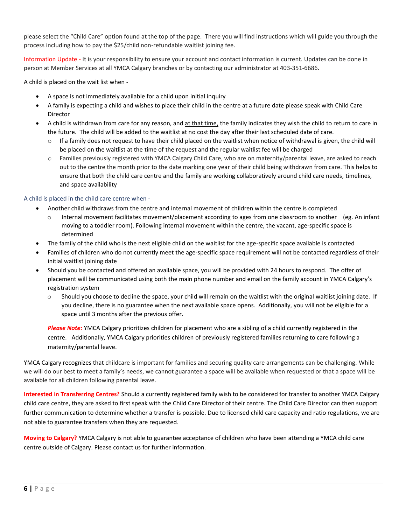please select the "Child Care" option found at the top of the page. There you will find instructions which will guide you through the process including how to pay the \$25/child non-refundable waitlist joining fee.

Information Update - It is your responsibility to ensure your account and contact information is current. Updates can be done in person at Member Services at all YMCA Calgary branches or by contacting our administrator at 403-351-6686.

A child is placed on the wait list when -

- A space is not immediately available for a child upon initial inquiry
- A family is expecting a child and wishes to place their child in the centre at a future date please speak with Child Care Director
- A child is withdrawn from care for any reason, and at that time, the family indicates they wish the child to return to care in the future. The child will be added to the waitlist at no cost the day after their last scheduled date of care.
	- $\circ$  If a family does not request to have their child placed on the waitlist when notice of withdrawal is given, the child will be placed on the waitlist at the time of the request and the regular waitlist fee will be charged
	- o Families previously registered with YMCA Calgary Child Care, who are on maternity/parental leave, are asked to reach out to the centre the month prior to the date marking one year of their child being withdrawn from care. This helps to ensure that both the child care centre and the family are working collaboratively around child care needs, timelines, and space availability

#### A child is placed in the child care centre when -

- Another child withdraws from the centre and internal movement of children within the centre is completed
	- o Internal movement facilitates movement/placement according to ages from one classroom to another (eg. An infant moving to a toddler room). Following internal movement within the centre, the vacant, age-specific space is determined
- The family of the child who is the next eligible child on the waitlist for the age-specific space available is contacted
- Families of children who do not currently meet the age-specific space requirement will not be contacted regardless of their initial waitlist joining date
- Should you be contacted and offered an available space, you will be provided with 24 hours to respond. The offer of placement will be communicated using both the main phone number and email on the family account in YMCA Calgary's registration system
	- $\circ$  Should you choose to decline the space, your child will remain on the waitlist with the original waitlist joining date. If you decline, there is no guarantee when the next available space opens. Additionally, you will not be eligible for a space until 3 months after the previous offer.

*Please Note:* YMCA Calgary prioritizes children for placement who are a sibling of a child currently registered in the centre. Additionally, YMCA Calgary priorities children of previously registered families returning to care following a maternity/parental leave.

YMCA Calgary recognizes that childcare is important for families and securing quality care arrangements can be challenging. While we will do our best to meet a family's needs, we cannot guarantee a space will be available when requested or that a space will be available for all children following parental leave.

**Interested in Transferring Centres?** Should a currently registered family wish to be considered for transfer to another YMCA Calgary child care centre, they are asked to first speak with the Child Care Director of their centre. The Child Care Director can then support further communication to determine whether a transfer is possible. Due to licensed child care capacity and ratio regulations, we are not able to guarantee transfers when they are requested.

**Moving to Calgary?** YMCA Calgary is not able to guarantee acceptance of children who have been attending a YMCA child care centre outside of Calgary. Please contact us for further information.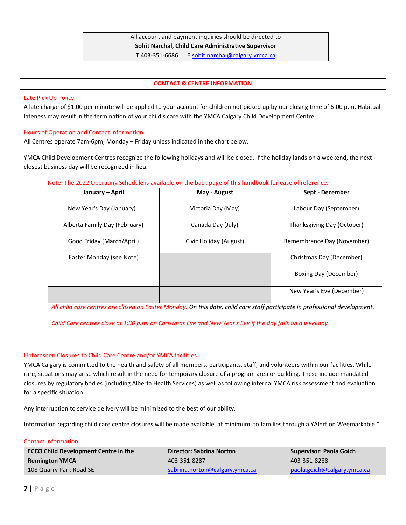### All account and payment inquiries should be directed to **Sohit Narchal, Child Care Administrative Supervisor** T 403-351-6686 [E sohit.narchal@calgary.ymca.ca](mailto:sohit.narchal@calgary.ymca.ca)

#### **CONTACT & CENTRE INFORMATION**

#### Late Pick Up Policy

A late charge of \$1.00 per minute will be applied to your account for children not picked up by our closing time of 6:00 p.m. Habitual lateness may result in the termination of your child's care with the YMCA Calgary Child Development Centre.

#### Hours of Operation and Contact Information

All Centres operate 7am-6pm, Monday – Friday unless indicated in the chart below.

YMCA Child Development Centres recognize the following holidays and will be closed. If the holiday lands on a weekend, the next closest business day will be recognized in lieu.

#### Note: The 2022 Operating Schedule is available on the back page of this handbook for ease of reference.

| January – April               | May - August           | Sept - December              |
|-------------------------------|------------------------|------------------------------|
| New Year's Day (January)      | Victoria Day (May)     | Labour Day (September)       |
| Alberta Family Day (February) | Canada Day (July)      | Thanksgiving Day (October)   |
| Good Friday (March/April)     | Civic Holiday (August) | Remembrance Day (November)   |
| Easter Monday (see Note)      |                        | Christmas Day (December)     |
|                               |                        | <b>Boxing Day (December)</b> |
|                               |                        | New Year's Eve (December)    |

*All child care centres are closed on Easter Monday. On this date, child care staff participate in professional development.*

*Child Care centres close at 1:30 p.m. on Christmas Eve and New Year's Eve if the day falls on a weekday*

#### Unforeseen Closures to Child Care Centre and/or YMCA facilities

YMCA Calgary is committed to the health and safety of all members, participants, staff, and volunteers within our facilities. While rare, situations may arise which result in the need for temporary closure of a program area or building. These include mandated closures by regulatory bodies (including Alberta Health Services) as well as following internal YMCA risk assessment and evaluation for a specific situation.

Any interruption to service delivery will be minimized to the best of our ability.

Information regarding child care centre closures will be made available, at minimum, to families through a YAlert on Weemarkable™

#### Contact Information

| <b>ECCO Child Development Centre in the</b> | <b>Director: Sabrina Norton</b> | Supervisor: Paola Goich     |
|---------------------------------------------|---------------------------------|-----------------------------|
| <b>Remington YMCA</b>                       | 403-351-8287                    | 403-351-8288                |
| 108 Quarry Park Road SE                     | sabrina.norton@calgary.ymca.ca  | paola.goich@calgary.ymca.ca |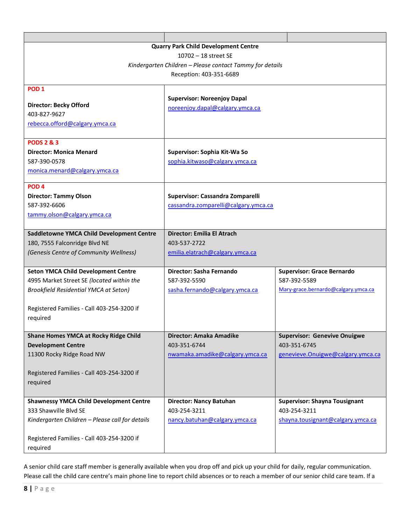|                                                          | <b>Quarry Park Child Development Centre</b> |                                      |  |
|----------------------------------------------------------|---------------------------------------------|--------------------------------------|--|
|                                                          | 10702 - 18 street SE                        |                                      |  |
| Kindergarten Children - Please contact Tammy for details |                                             |                                      |  |
|                                                          | Reception: 403-351-6689                     |                                      |  |
| POD <sub>1</sub>                                         |                                             |                                      |  |
|                                                          | <b>Supervisor: Noreenjoy Dapal</b>          |                                      |  |
| <b>Director: Becky Offord</b>                            | noreenjoy.dapal@calgary.ymca.ca             |                                      |  |
| 403-827-9627                                             |                                             |                                      |  |
| rebecca.offord@calgary.ymca.ca                           |                                             |                                      |  |
|                                                          |                                             |                                      |  |
| <b>PODS 2 &amp; 3</b>                                    |                                             |                                      |  |
| <b>Director: Monica Menard</b>                           | Supervisor: Sophia Kit-Wa So                |                                      |  |
| 587-390-0578                                             | sophia.kitwaso@calgary.ymca.ca              |                                      |  |
| monica.menard@calgary.ymca.ca                            |                                             |                                      |  |
| POD <sub>4</sub>                                         |                                             |                                      |  |
| <b>Director: Tammy Olson</b>                             | Supervisor: Cassandra Zomparelli            |                                      |  |
| 587-392-6606                                             | cassandra.zomparelli@calgary.ymca.ca        |                                      |  |
| tammy.olson@calgary.ymca.ca                              |                                             |                                      |  |
|                                                          |                                             |                                      |  |
| Saddletowne YMCA Child Development Centre                | Director: Emilia El Atrach                  |                                      |  |
| 180, 7555 Falconridge Blvd NE                            | 403-537-2722                                |                                      |  |
| (Genesis Centre of Community Wellness)                   | emilia.elatrach@calgary.ymca.ca             |                                      |  |
|                                                          |                                             |                                      |  |
| <b>Seton YMCA Child Development Centre</b>               | Director: Sasha Fernando                    | <b>Supervisor: Grace Bernardo</b>    |  |
| 4995 Market Street SE (located within the                | 587-392-5590                                | 587-392-5589                         |  |
| <b>Brookfield Residential YMCA at Seton)</b>             | sasha.fernando@calgary.ymca.ca              | Mary-grace.bernardo@calgary.ymca.ca  |  |
|                                                          |                                             |                                      |  |
| Registered Families - Call 403-254-3200 if               |                                             |                                      |  |
| required                                                 |                                             |                                      |  |
| <b>Shane Homes YMCA at Rocky Ridge Child</b>             | Director: Amaka Amadike                     | <b>Supervisor: Genevive Onuigwe</b>  |  |
| <b>Development Centre</b>                                | 403-351-6744                                | 403-351-6745                         |  |
| 11300 Rocky Ridge Road NW                                | nwamaka.amadike@calgary.ymca.ca             | genevieve. On uigwe@calgary.ymca.ca  |  |
|                                                          |                                             |                                      |  |
| Registered Families - Call 403-254-3200 if               |                                             |                                      |  |
| required                                                 |                                             |                                      |  |
|                                                          |                                             |                                      |  |
| <b>Shawnessy YMCA Child Development Centre</b>           | <b>Director: Nancy Batuhan</b>              | <b>Supervisor: Shayna Tousignant</b> |  |
| 333 Shawville Blvd SE                                    | 403-254-3211                                | 403-254-3211                         |  |
| Kindergarten Children - Please call for details          | nancy.batuhan@calgary.ymca.ca               | shayna.tousignant@calgary.ymca.ca    |  |
|                                                          |                                             |                                      |  |
| Registered Families - Call 403-254-3200 if               |                                             |                                      |  |
| required                                                 |                                             |                                      |  |

A senior child care staff member is generally available when you drop off and pick up your child for daily, regular communication. Please call the child care centre's main phone line to report child absences or to reach a member of our senior child care team. If a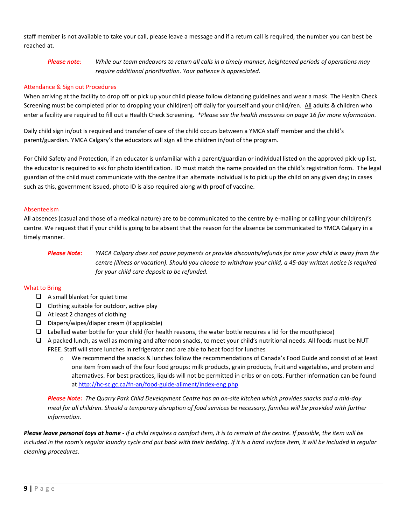staff member is not available to take your call, please leave a message and if a return call is required, the number you can best be reached at.

### *Please note: While our team endeavors to return all calls in a timely manner, heightened periods of operations may require additional prioritization. Your patience is appreciated.*

#### Attendance & Sign out Procedures

When arriving at the facility to drop off or pick up your child please follow distancing guidelines and wear a mask. The Health Check Screening must be completed prior to dropping your child(ren) off daily for yourself and your child/ren. All adults & children who enter a facility are required to fill out a Health Check Screening. *\*Please see the health measures on page 16 for more information.* 

Daily child sign in/out is required and transfer of care of the child occurs between a YMCA staff member and the child's parent/guardian. YMCA Calgary's the educators will sign all the children in/out of the program.

For Child Safety and Protection, if an educator is unfamiliar with a parent/guardian or individual listed on the approved pick-up list, the educator is required to ask for photo identification. ID must match the name provided on the child's registration form. The legal guardian of the child must communicate with the centre if an alternate individual is to pick up the child on any given day; in cases such as this, government issued, photo ID is also required along with proof of vaccine.

#### Absenteeism

All absences (casual and those of a medical nature) are to be communicated to the centre by e-mailing or calling your child(ren)'s centre. We request that if your child is going to be absent that the reason for the absence be communicated to YMCA Calgary in a timely manner.

### *Please Note: YMCA Calgary does not pause payments or provide discounts/refunds for time your child is away from the centre (illness or vacation). Should you choose to withdraw your child, a 45-day written notice is required for your child care deposit to be refunded.*

#### What to Bring

- $\Box$  A small blanket for quiet time
- ❑ Clothing suitable for outdoor, active play
- ❑ At least 2 changes of clothing
- ❑ Diapers/wipes/diaper cream (if applicable)
- ❑ Labelled water bottle for your child (for health reasons, the water bottle requires a lid for the mouthpiece)
- ❑ A packed lunch, as well as morning and afternoon snacks, to meet your child's nutritional needs. All foods must be NUT FREE. Staff will store lunches in refrigerator and are able to heat food for lunches
	- o We recommend the snacks & lunches follow the recommendations of Canada's Food Guide and consist of at least one item from each of the four food groups: milk products, grain products, fruit and vegetables, and protein and alternatives. For best practices, liquids will not be permitted in cribs or on cots. Further information can be found a[t http://hc-sc.gc.ca/fn-an/food-guide-aliment/index-eng.php](http://hc-sc.gc.ca/fn-an/food-guide-aliment/index-eng.php)

*Please Note: The Quarry Park Child Development Centre has an on-site kitchen which provides snacks and a mid-day meal for all children. Should a temporary disruption of food services be necessary, families will be provided with further information.*

*Please leave personal toys at home - If a child requires a comfort item, it is to remain at the centre. If possible, the item will be*  included in the room's regular laundry cycle and put back with their bedding. If it is a hard surface item, it will be included in regular *cleaning procedures.*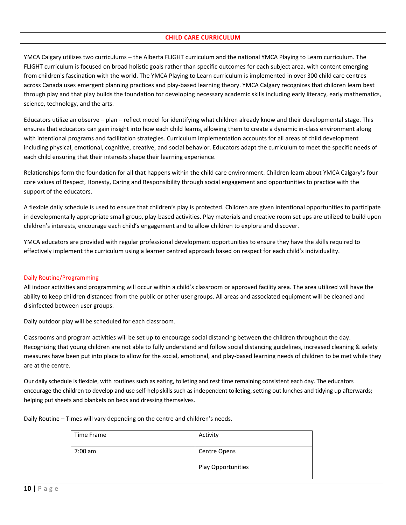#### **CHILD CARE CURRICULUM**

YMCA Calgary utilizes two curriculums – the Alberta FLIGHT curriculum and the national YMCA Playing to Learn curriculum. The FLIGHT curriculum is focused on broad holistic goals rather than specific outcomes for each subject area, with content emerging from children's fascination with the world. The YMCA Playing to Learn curriculum is implemented in over 300 child care centres across Canada uses emergent planning practices and play-based learning theory. YMCA Calgary recognizes that children learn best through play and that play builds the foundation for developing necessary academic skills including early literacy, early mathematics, science, technology, and the arts.

Educators utilize an observe – plan – reflect model for identifying what children already know and their developmental stage. This ensures that educators can gain insight into how each child learns, allowing them to create a dynamic in-class environment along with intentional programs and facilitation strategies. Curriculum implementation accounts for all areas of child development including physical, emotional, cognitive, creative, and social behavior. Educators adapt the curriculum to meet the specific needs of each child ensuring that their interests shape their learning experience.

Relationships form the foundation for all that happens within the child care environment. Children learn about YMCA Calgary's four core values of Respect, Honesty, Caring and Responsibility through social engagement and opportunities to practice with the support of the educators.

A flexible daily schedule is used to ensure that children's play is protected. Children are given intentional opportunities to participate in developmentally appropriate small group, play-based activities. Play materials and creative room set ups are utilized to build upon children's interests, encourage each child's engagement and to allow children to explore and discover.

YMCA educators are provided with regular professional development opportunities to ensure they have the skills required to effectively implement the curriculum using a learner centred approach based on respect for each child's individuality.

#### Daily Routine/Programming

All indoor activities and programming will occur within a child's classroom or approved facility area. The area utilized will have the ability to keep children distanced from the public or other user groups. All areas and associated equipment will be cleaned and disinfected between user groups.

Daily outdoor play will be scheduled for each classroom.

Classrooms and program activities will be set up to encourage social distancing between the children throughout the day. Recognizing that young children are not able to fully understand and follow social distancing guidelines, increased cleaning & safety measures have been put into place to allow for the social, emotional, and play-based learning needs of children to be met while they are at the centre.

Our daily schedule is flexible, with routines such as eating, toileting and rest time remaining consistent each day. The educators encourage the children to develop and use self-help skills such as independent toileting, setting out lunches and tidying up afterwards; helping put sheets and blankets on beds and dressing themselves.

> Time Frame Activity 7:00 am Centre Opens Play Opportunities

Daily Routine – Times will vary depending on the centre and children's needs.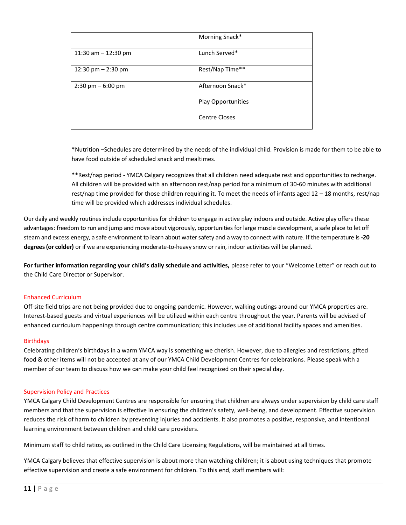|                                     | Morning Snack*     |
|-------------------------------------|--------------------|
| 11:30 am $-$ 12:30 pm               | Lunch Served*      |
| 12:30 pm $-$ 2:30 pm                | Rest/Nap Time**    |
| $2:30 \text{ pm} - 6:00 \text{ pm}$ | Afternoon Snack*   |
|                                     | Play Opportunities |
|                                     | Centre Closes      |
|                                     |                    |

\*Nutrition –Schedules are determined by the needs of the individual child. Provision is made for them to be able to have food outside of scheduled snack and mealtimes.

\*\*Rest/nap period - YMCA Calgary recognizes that all children need adequate rest and opportunities to recharge. All children will be provided with an afternoon rest/nap period for a minimum of 30-60 minutes with additional rest/nap time provided for those children requiring it. To meet the needs of infants aged 12 – 18 months, rest/nap time will be provided which addresses individual schedules.

Our daily and weekly routines include opportunities for children to engage in active play indoors and outside. Active play offers these advantages: freedom to run and jump and move about vigorously, opportunities for large muscle development, a safe place to let off steam and excess energy, a safe environment to learn about water safety and a way to connect with nature. If the temperature is **-20 degrees (or colder)** or if we are experiencing moderate-to-heavy snow or rain, indoor activities will be planned.

**For further information regarding your child's daily schedule and activities,** please refer to your "Welcome Letter" or reach out to the Child Care Director or Supervisor.

#### Enhanced Curriculum

Off-site field trips are not being provided due to ongoing pandemic. However, walking outings around our YMCA properties are. Interest-based guests and virtual experiences will be utilized within each centre throughout the year. Parents will be advised of enhanced curriculum happenings through centre communication; this includes use of additional facility spaces and amenities.

#### Birthdays

Celebrating children's birthdays in a warm YMCA way is something we cherish. However, due to allergies and restrictions, gifted food & other items will not be accepted at any of our YMCA Child Development Centres for celebrations. Please speak with a member of our team to discuss how we can make your child feel recognized on their special day.

#### Supervision Policy and Practices

YMCA Calgary Child Development Centres are responsible for ensuring that children are always under supervision by child care staff members and that the supervision is effective in ensuring the children's safety, well-being, and development. Effective supervision reduces the risk of harm to children by preventing injuries and accidents. It also promotes a positive, responsive, and intentional learning environment between children and child care providers.

Minimum staff to child ratios, as outlined in the Child Care Licensing Regulations, will be maintained at all times.

YMCA Calgary believes that effective supervision is about more than watching children; it is about using techniques that promote effective supervision and create a safe environment for children. To this end, staff members will: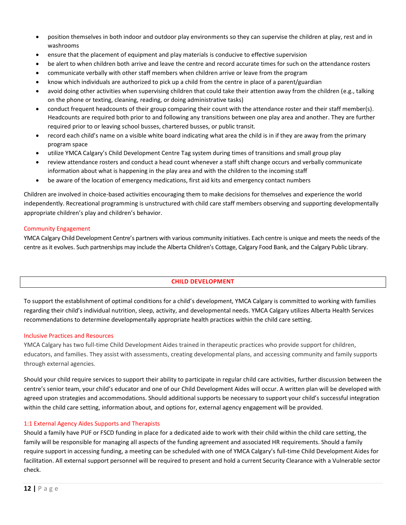- position themselves in both indoor and outdoor play environments so they can supervise the children at play, rest and in washrooms
- ensure that the placement of equipment and play materials is conducive to effective supervision
- be alert to when children both arrive and leave the centre and record accurate times for such on the attendance rosters
- communicate verbally with other staff members when children arrive or leave from the program
- know which individuals are authorized to pick up a child from the centre in place of a parent/guardian
- avoid doing other activities when supervising children that could take their attention away from the children (e.g., talking on the phone or texting, cleaning, reading, or doing administrative tasks)
- conduct frequent headcounts of their group comparing their count with the attendance roster and their staff member(s). Headcounts are required both prior to and following any transitions between one play area and another. They are further required prior to or leaving school busses, chartered busses, or public transit.
- record each child's name on a visible white board indicating what area the child is in if they are away from the primary program space
- utilize YMCA Calgary's Child Development Centre Tag system during times of transitions and small group play
- review attendance rosters and conduct a head count whenever a staff shift change occurs and verbally communicate information about what is happening in the play area and with the children to the incoming staff
- be aware of the location of emergency medications, first aid kits and emergency contact numbers

Children are involved in choice-based activities encouraging them to make decisions for themselves and experience the world independently. Recreational programming is unstructured with child care staff members observing and supporting developmentally appropriate children's play and children's behavior.

#### Community Engagement

YMCA Calgary Child Development Centre's partners with various community initiatives. Each centre is unique and meets the needs of the centre as it evolves. Such partnerships may include the Alberta Children's Cottage, Calgary Food Bank, and the Calgary Public Library.

#### **CHILD DEVELOPMENT**

To support the establishment of optimal conditions for a child's development, YMCA Calgary is committed to working with families regarding their child's individual nutrition, sleep, activity, and developmental needs. YMCA Calgary utilizes Alberta Health Services recommendations to determine developmentally appropriate health practices within the child care setting.

#### Inclusive Practices and Resources

YMCA Calgary has two full-time Child Development Aides trained in therapeutic practices who provide support for children, educators, and families. They assist with assessments, creating developmental plans, and accessing community and family supports through external agencies.

Should your child require services to support their ability to participate in regular child care activities, further discussion between the centre's senior team, your child's educator and one of our Child Development Aides will occur. A written plan will be developed with agreed upon strategies and accommodations. Should additional supports be necessary to support your child's successful integration within the child care setting, information about, and options for, external agency engagement will be provided.

#### 1:1 External Agency Aides Supports and Therapists

Should a family have PUF or FSCD funding in place for a dedicated aide to work with their child within the child care setting, the family will be responsible for managing all aspects of the funding agreement and associated HR requirements. Should a family require support in accessing funding, a meeting can be scheduled with one of YMCA Calgary's full-time Child Development Aides for facilitation. All external support personnel will be required to present and hold a current Security Clearance with a Vulnerable sector check.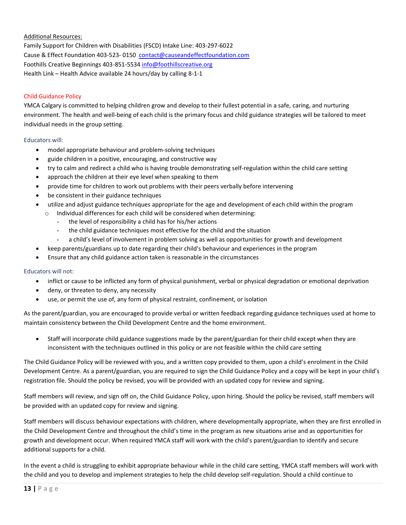#### Additional Resources:

Family Support for Children with Disabilities (FSCD) Intake Line: 403-297-6022 Cause & Effect Foundation 403-523- 0150 [contact@causeandeffectfoundation.com](mailto:contact@causeandeffectfoundation.com?subject=Enquiry%20from%20your%20web%20site) Foothills Creative Beginnings 403-851-5534 [info@foothillscreative.org](mailto:info@foothillscreative.org) Health Link – Health Advice available 24 hours/day by calling 8-1-1

#### Child Guidance Policy

YMCA Calgary is committed to helping children grow and develop to their fullest potential in a safe, caring, and nurturing environment. The health and well-being of each child is the primary focus and child guidance strategies will be tailored to meet individual needs in the group setting.

#### Educators will:

- model appropriate behaviour and problem-solving techniques
- guide children in a positive, encouraging, and constructive way
- try to calm and redirect a child who is having trouble demonstrating self-regulation within the child care setting
- approach the children at their eye level when speaking to them
- provide time for children to work out problems with their peers verbally before intervening
- be consistent in their guidance techniques
- utilize and adjust guidance techniques appropriate for the age and development of each child within the program
	- o Individual differences for each child will be considered when determining:
		- the level of responsibility a child has for his/her actions
		- the child guidance techniques most effective for the child and the situation
		- a child's level of involvement in problem solving as well as opportunities for growth and development
	- keep parents/guardians up to date regarding their child's behaviour and experiences in the program
- Ensure that any child guidance action taken is reasonable in the circumstances

#### Educators will not:

- inflict or cause to be inflicted any form of physical punishment, verbal or physical degradation or emotional deprivation
- deny, or threaten to deny, any necessity
- use, or permit the use of, any form of physical restraint, confinement, or isolation

As the parent/guardian, you are encouraged to provide verbal or written feedback regarding guidance techniques used at home to maintain consistency between the Child Development Centre and the home environment.

• Staff will incorporate child guidance suggestions made by the parent/guardian for their child except when they are inconsistent with the techniques outlined in this policy or are not feasible within the child care setting

The Child Guidance Policy will be reviewed with you, and a written copy provided to them, upon a child's enrolment in the Child Development Centre. As a parent/guardian, you are required to sign the Child Guidance Policy and a copy will be kept in your child's registration file. Should the policy be revised, you will be provided with an updated copy for review and signing.

Staff members will review, and sign off on, the Child Guidance Policy, upon hiring. Should the policy be revised, staff members will be provided with an updated copy for review and signing.

Staff members will discuss behaviour expectations with children, where developmentally appropriate, when they are first enrolled in the Child Development Centre and throughout the child's time in the program as new situations arise and as opportunities for growth and development occur. When required YMCA staff will work with the child's parent/guardian to identify and secure additional supports for a child.

In the event a child is struggling to exhibit appropriate behaviour while in the child care setting, YMCA staff members will work with the child and you to develop and implement strategies to help the child develop self-regulation. Should a child continue to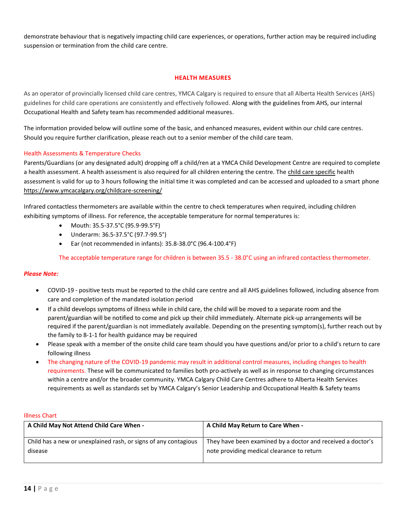demonstrate behaviour that is negatively impacting child care experiences, or operations, further action may be required including suspension or termination from the child care centre.

#### **HEALTH MEASURES**

As an operator of provincially licensed child care centres, YMCA Calgary is required to ensure that all Alberta Health Services (AHS) guidelines for child care operations are consistently and effectively followed. Along with the guidelines from AHS, our internal Occupational Health and Safety team has recommended additional measures.

The information provided below will outline some of the basic, and enhanced measures, evident within our child care centres. Should you require further clarification, please reach out to a senior member of the child care team.

#### Health Assessments & Temperature Checks

Parents/Guardians (or any designated adult) dropping off a child/ren at a YMCA Child Development Centre are required to complete a health assessment. A health assessment is also required for all children entering the centre. The child care specific health assessment is valid for up to 3 hours following the initial time it was completed and can be accessed and uploaded to a smart phone <https://www.ymcacalgary.org/childcare-screening/>

Infrared contactless thermometers are available within the centre to check temperatures when required, including children exhibiting symptoms of illness. For reference, the acceptable temperature for normal temperatures is:

- Mouth: 35.5-37.5°C (95.9-99.5°F)
- Underarm: 36.5-37.5°C (97.7-99.5°)
- Ear (not recommended in infants): 35.8-38.0°C (96.4-100.4°F)

The acceptable temperature range for children is between 35.5 - 38.0°C using an infrared contactless thermometer.

#### *Please Note:*

- COVID-19 positive tests must be reported to the child care centre and all AHS guidelines followed, including absence from care and completion of the mandated isolation period
- If a child develops symptoms of illness while in child care, the child will be moved to a separate room and the parent/guardian will be notified to come and pick up their child immediately. Alternate pick-up arrangements will be required if the parent/guardian is not immediately available. Depending on the presenting symptom(s), further reach out by the family to 8-1-1 for health guidance may be required
- Please speak with a member of the onsite child care team should you have questions and/or prior to a child's return to care following illness
- The changing nature of the COVID-19 pandemic may result in additional control measures, including changes to health requirements. These will be communicated to families both pro-actively as well as in response to changing circumstances within a centre and/or the broader community. YMCA Calgary Child Care Centres adhere to Alberta Health Services requirements as well as standards set by YMCA Calgary's Senior Leadership and Occupational Health & Safety teams

#### Illness Chart

| A Child May Not Attend Child Care When -                        | A Child May Return to Care When -                           |
|-----------------------------------------------------------------|-------------------------------------------------------------|
| Child has a new or unexplained rash, or signs of any contagious | They have been examined by a doctor and received a doctor's |
| disease                                                         | note providing medical clearance to return                  |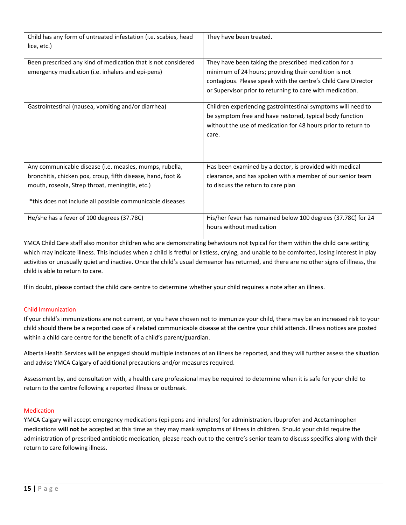| Child has any form of untreated infestation (i.e. scabies, head<br>lice, etc.)                                                                                                                                                         | They have been treated.                                                                                                                                                                                                                       |
|----------------------------------------------------------------------------------------------------------------------------------------------------------------------------------------------------------------------------------------|-----------------------------------------------------------------------------------------------------------------------------------------------------------------------------------------------------------------------------------------------|
| Been prescribed any kind of medication that is not considered<br>emergency medication (i.e. inhalers and epi-pens)                                                                                                                     | They have been taking the prescribed medication for a<br>minimum of 24 hours; providing their condition is not<br>contagious. Please speak with the centre's Child Care Director<br>or Supervisor prior to returning to care with medication. |
| Gastrointestinal (nausea, vomiting and/or diarrhea)                                                                                                                                                                                    | Children experiencing gastrointestinal symptoms will need to<br>be symptom free and have restored, typical body function<br>without the use of medication for 48 hours prior to return to<br>care.                                            |
| Any communicable disease (i.e. measles, mumps, rubella,<br>bronchitis, chicken pox, croup, fifth disease, hand, foot &<br>mouth, roseola, Strep throat, meningitis, etc.)<br>*this does not include all possible communicable diseases | Has been examined by a doctor, is provided with medical<br>clearance, and has spoken with a member of our senior team<br>to discuss the return to care plan                                                                                   |
| He/she has a fever of 100 degrees (37.78C)                                                                                                                                                                                             | His/her fever has remained below 100 degrees (37.78C) for 24<br>hours without medication                                                                                                                                                      |

YMCA Child Care staff also monitor children who are demonstrating behaviours not typical for them within the child care setting which may indicate illness. This includes when a child is fretful or listless, crying, and unable to be comforted, losing interest in play activities or unusually quiet and inactive. Once the child's usual demeanor has returned, and there are no other signs of illness, the child is able to return to care.

If in doubt, please contact the child care centre to determine whether your child requires a note after an illness.

### Child Immunization

If your child's immunizations are not current, or you have chosen not to immunize your child, there may be an increased risk to your child should there be a reported case of a related communicable disease at the centre your child attends. Illness notices are posted within a child care centre for the benefit of a child's parent/guardian.

Alberta Health Services will be engaged should multiple instances of an illness be reported, and they will further assess the situation and advise YMCA Calgary of additional precautions and/or measures required.

Assessment by, and consultation with, a health care professional may be required to determine when it is safe for your child to return to the centre following a reported illness or outbreak.

#### Medication

YMCA Calgary will accept emergency medications (epi-pens and inhalers) for administration. Ibuprofen and Acetaminophen medications **will not** be accepted at this time as they may mask symptoms of illness in children. Should your child require the administration of prescribed antibiotic medication, please reach out to the centre's senior team to discuss specifics along with their return to care following illness.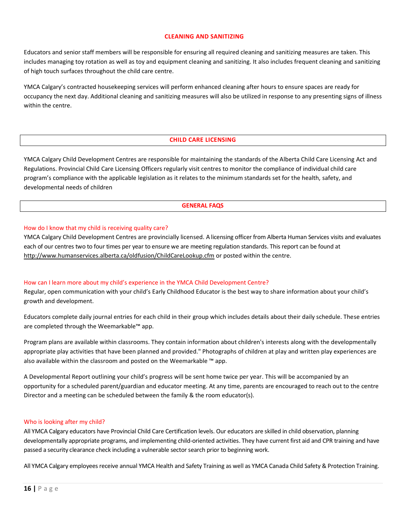#### **CLEANING AND SANITIZING**

Educators and senior staff members will be responsible for ensuring all required cleaning and sanitizing measures are taken. This includes managing toy rotation as well as toy and equipment cleaning and sanitizing. It also includes frequent cleaning and sanitizing of high touch surfaces throughout the child care centre.

YMCA Calgary's contracted housekeeping services will perform enhanced cleaning after hours to ensure spaces are ready for occupancy the next day. Additional cleaning and sanitizing measures will also be utilized in response to any presenting signs of illness within the centre.

#### **CHILD CARE LICENSING**

YMCA Calgary Child Development Centres are responsible for maintaining the standards of the Alberta Child Care Licensing Act and Regulations. Provincial Child Care Licensing Officers regularly visit centres to monitor the compliance of individual child care program's compliance with the applicable legislation as it relates to the minimum standards set for the health, safety, and developmental needs of children

### **GENERAL FAQS**

#### How do I know that my child is receiving quality care?

YMCA Calgary Child Development Centres are provincially licensed. A licensing officer from Alberta Human Services visits and evaluates each of our centres two to four times per year to ensure we are meeting regulation standards. This report can be found at <http://www.humanservices.alberta.ca/oldfusion/ChildCareLookup.cfm> or posted within the centre.

#### How can I learn more about my child's experience in the YMCA Child Development Centre?

Regular, open communication with your child's Early Childhood Educator is the best way to share information about your child's growth and development.

Educators complete daily journal entries for each child in their group which includes details about their daily schedule. These entries are completed through the Weemarkable™ app.

Program plans are available within classrooms. They contain information about children's interests along with the developmentally appropriate play activities that have been planned and provided." Photographs of children at play and written play experiences are also available within the classroom and posted on the Weemarkable ™ app.

A Developmental Report outlining your child's progress will be sent home twice per year. This will be accompanied by an opportunity for a scheduled parent/guardian and educator meeting. At any time, parents are encouraged to reach out to the centre Director and a meeting can be scheduled between the family & the room educator(s).

#### Who is looking after my child?

All YMCA Calgary educators have Provincial Child Care Certification levels. Our educators are skilled in child observation, planning developmentally appropriate programs, and implementing child-oriented activities. They have current first aid and CPR training and have passed a security clearance check including a vulnerable sector search prior to beginning work.

All YMCA Calgary employees receive annual YMCA Health and Safety Training as well as YMCA Canada Child Safety & Protection Training.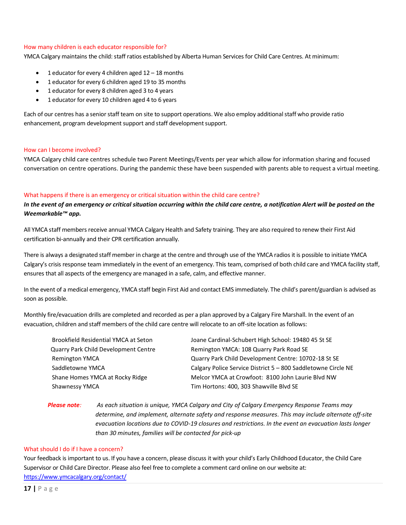#### How many children is each educator responsible for?

YMCA Calgary maintains the child: staff ratios established by Alberta Human Services for Child Care Centres. At minimum:

- 1 educator for every 4 children aged  $12 18$  months
- 1 educator for every 6 children aged 19 to 35 months
- 1 educator for every 8 children aged 3 to 4 years
- 1 educator for every 10 children aged 4 to 6 years

Each of our centres has a senior staff team on site to support operations. We also employ additional staff who provide ratio enhancement, program development support and staff development support.

#### How can I become involved?

YMCA Calgary child care centres schedule two Parent Meetings/Events per year which allow for information sharing and focused conversation on centre operations. During the pandemic these have been suspended with parents able to request a virtual meeting.

#### What happens if there is an emergency or critical situation within the child care centre?

In the event of an emergency or critical situation occurring within the child care centre, a notification Alert will be posted on the *Weemarkable™ app.*

All YMCA staff members receive annual YMCA Calgary Health and Safety training. They are also required to renew their First Aid certification bi-annually and their CPR certification annually.

There is always a designated staff member in charge at the centre and through use of the YMCA radios it is possible to initiate YMCA Calgary's crisis response team immediately in the event of an emergency. This team, comprised of both child care and YMCA facility staff, ensures that all aspects of the emergency are managed in a safe, calm, and effective manner.

In the event of a medical emergency, YMCA staff begin First Aid and contact EMS immediately. The child's parent/guardian is advised as soon as possible.

Monthly fire/evacuation drills are completed and recorded as per a plan approved by a Calgary Fire Marshall. In the event of an evacuation, children and staff members of the child care centre will relocate to an off-site location as follows:

| Brookfield Residential YMCA at Seton        | Joane Cardinal-Schubert High School: 19480 45 St SE           |
|---------------------------------------------|---------------------------------------------------------------|
| <b>Quarry Park Child Development Centre</b> | Remington YMCA: 108 Quarry Park Road SE                       |
| <b>Remington YMCA</b>                       | Quarry Park Child Development Centre: 10702-18 St SE          |
| Saddletowne YMCA                            | Calgary Police Service District 5 - 800 Saddletowne Circle NE |
| Shane Homes YMCA at Rocky Ridge             | Melcor YMCA at Crowfoot: 8100 John Laurie Blyd NW             |
| Shawnessy YMCA                              | Tim Hortons: 400, 303 Shawville Blvd SE                       |

### *Please note: As each situation is unique, YMCA Calgary and City of Calgary Emergency Response Teams may determine, and implement, alternate safety and response measures. This may include alternate off-site evacuation locations due to COVID-19 closures and restrictions. In the event an evacuation lasts longer than 30 minutes, families will be contacted for pick-up*

#### What should I do if I have a concern?

Your feedback is important to us. If you have a concern, please discuss it with your child's Early Childhood Educator, the Child Care Supervisor or Child Care Director. Please also feel free to complete a comment card online on our website at: <https://www.ymcacalgary.org/contact/>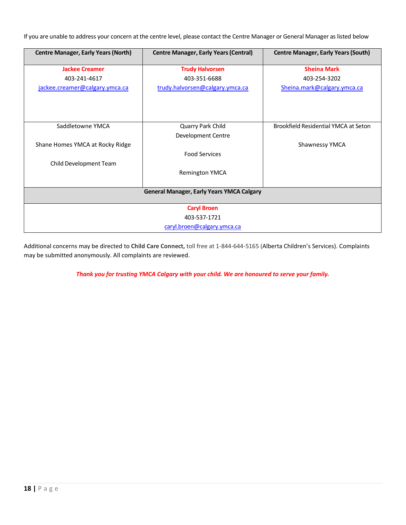If you are unable to address your concern at the centre level, please contact the Centre Manager or General Manager as listed below

| <b>Centre Manager, Early Years (North)</b> | <b>Centre Manager, Early Years (Central)</b>     | <b>Centre Manager, Early Years (South)</b> |
|--------------------------------------------|--------------------------------------------------|--------------------------------------------|
| <b>Jackee Creamer</b>                      | <b>Trudy Halvorsen</b>                           | <b>Sheina Mark</b>                         |
| 403-241-4617                               | 403-351-6688                                     | 403-254-3202                               |
| jackee.creamer@calgary.ymca.ca             | trudy.halvorsen@calgary.ymca.ca                  | Sheina.mark@calgary.ymca.ca                |
|                                            |                                                  |                                            |
| Saddletowne YMCA                           | Quarry Park Child                                | Brookfield Residential YMCA at Seton       |
|                                            | Development Centre                               |                                            |
| Shane Homes YMCA at Rocky Ridge            |                                                  | <b>Shawnessy YMCA</b>                      |
|                                            | <b>Food Services</b>                             |                                            |
| Child Development Team                     |                                                  |                                            |
|                                            | <b>Remington YMCA</b>                            |                                            |
|                                            |                                                  |                                            |
|                                            | <b>General Manager, Early Years YMCA Calgary</b> |                                            |
|                                            |                                                  |                                            |
|                                            | <b>Caryl Broen</b>                               |                                            |
|                                            | 403-537-1721                                     |                                            |
|                                            | caryl.broen@calgary.ymca.ca                      |                                            |

Additional concerns may be directed to **Child Care Connect,** toll free at 1-844-644-5165 (Alberta Children's Services). Complaints may be submitted anonymously. All complaints are reviewed.

*Thank you for trusting YMCA Calgary with your child. We are honoured to serve your family.*